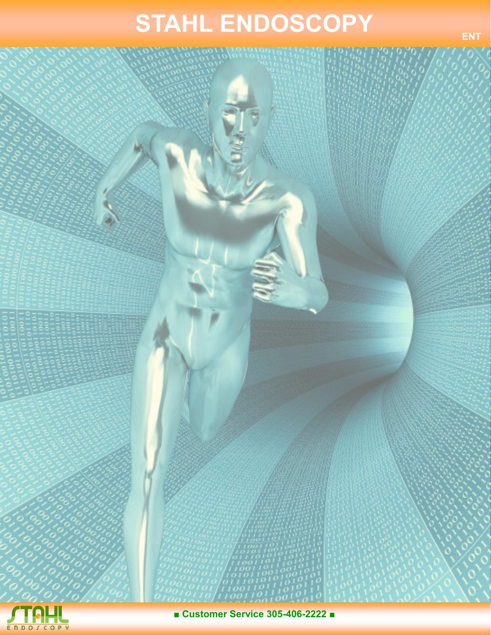## **STAHL ENDOSCOPY**



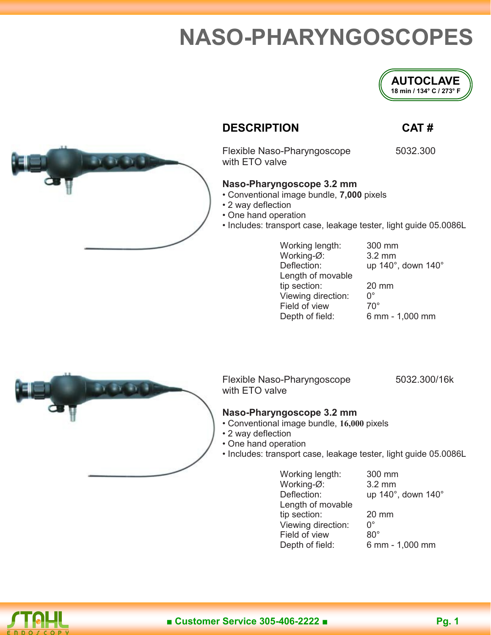### **NASO-PHARYNGOSCOPES**



### **DESCRIPTION CAT #**

Flexible Naso-Pharyngoscope 5032.300 with ETO valve

### **Naso-Pharyngoscope 3.2 mm**

- Conventional image bundle, **7,000** pixels
- 2 way deflection
- One hand operation
- Includes: transport case, leakage tester, light guide 05.0086L

Working length: 300 mm Working-Ø: 3.2 mm Length of movable tip section:  $20 \text{ mm}$ <br>Viewing direction:  $0^{\circ}$ Viewing direction: 0°<br>Field of view 70° Field of view Depth of field: 6 mm - 1,000 mm

Deflection: up 140°, down 140°



Flexible Naso-Pharyngoscope 5032.300/16k with ETO valve

### **Naso-Pharyngoscope 3.2 mm**

- Conventional image bundle, **16,000** pixels
- 2 way deflection
- One hand operation
- Includes: transport case, leakage tester, light guide 05.0086L

Working length: 300 mm Working-Ø: 3.2 mm<br>Deflection: up 140° up 140°, down 140° Length of movable tip section: 20 mm Viewing direction: 0° Field of view 80° Depth of field: 6 mm - 1,000 mm

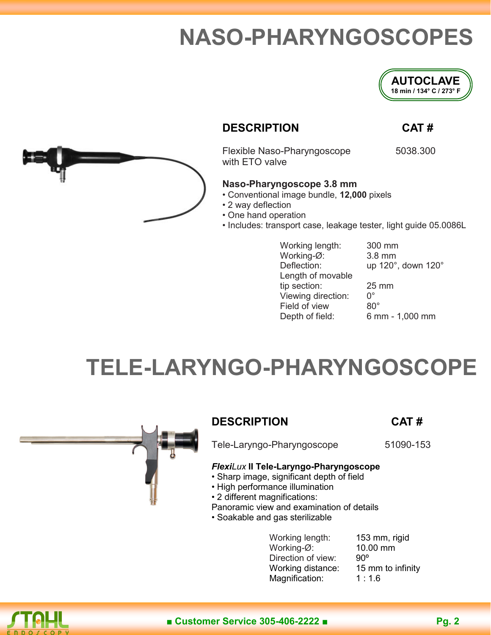### **NASO-PHARYNGOSCOPES**



### **DESCRIPTION CAT #**

Flexible Naso-Pharyngoscope 5038.300 with ETO valve

### **Naso-Pharyngoscope 3.8 mm**

- Conventional image bundle, **12,000** pixels
- 2 way deflection
- One hand operation
- Includes: transport case, leakage tester, light guide 05.0086L

Working length: 300 mm Working-Ø: 3.8 mm Length of movable tip section:  $25 \text{ mm}$ <br>Viewing direction:  $0^{\circ}$ Viewing direction: 0°<br>Field of view 80° Field of view Depth of field: 6 mm - 1,000 mm

Deflection: up 120°, down 120°

### **TELE-LARYNGO-PHARYNGOSCOPE**



### **DESCRIPTION CAT #**

Tele-Laryngo-Pharyngoscope 51090-153

### *FlexiLux* **II Tele-Laryngo-Pharyngoscope**

- Sharp image, significant depth of field
- High performance illumination
- 2 different magnifications:

Panoramic view and examination of details

• Soakable and gas sterilizable

Working length: 153 mm, rigid Working-Ø: 10.00 mm Direction of view: 90° Working distance: 15 mm to infinity Magnification: 1:1.6

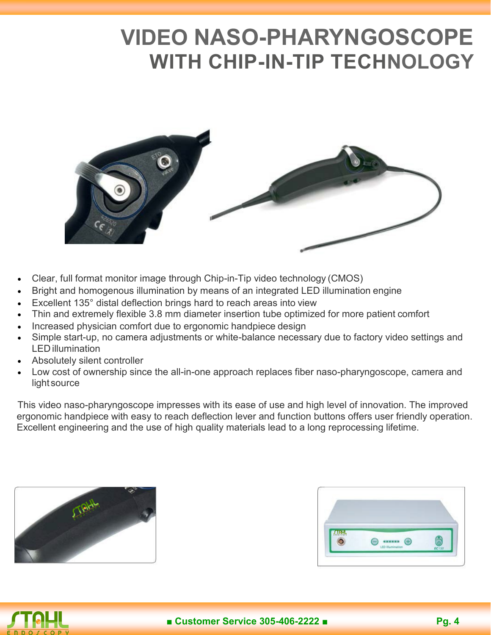### **VIDEO NASO-PHARYNGOSCOPE WITH CHIP-IN-TIP TECHNOLOGY**



- Clear, full format monitor image through Chip-in-Tip video technology (CMOS)
- Bright and homogenous illumination by means of an integrated LED illumination engine
- Excellent 135° distal deflection brings hard to reach areas into view
- Thin and extremely flexible 3.8 mm diameter insertion tube optimized for more patient comfort
- Increased physician comfort due to ergonomic handpiece design
- Simple start-up, no camera adjustments or white-balance necessary due to factory video settings and LED illumination
- Absolutely silent controller
- Low cost of ownership since the all-in-one approach replaces fiber naso-pharyngoscope, camera and light source

This video naso-pharyngoscope impresses with its ease of use and high level of innovation. The improved ergonomic handpiece with easy to reach deflection lever and function buttons offers user friendly operation. Excellent engineering and the use of high quality materials lead to a long reprocessing lifetime.





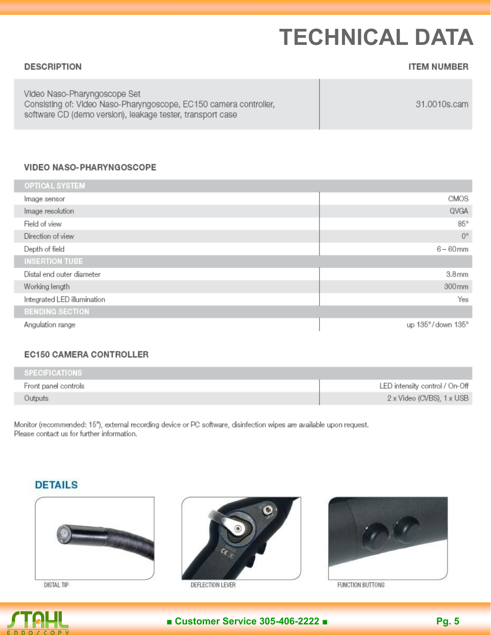## **TECHNICAL DATA**

| <b>DESCRIPTION</b>                                                                                                                                              | <b>ITEM NUMBER</b> |
|-----------------------------------------------------------------------------------------------------------------------------------------------------------------|--------------------|
| Video Naso-Pharyngoscope Set<br>Consisting of: Video Naso-Pharyngoscope, EC150 camera controller,<br>software CD (demo version), leakage tester, transport case | 31.0010s.cam       |

#### **VIDEO NASO-PHARYNGOSCOPE**

| <b>OPTICAL SYSTEM</b>       |                   |
|-----------------------------|-------------------|
| Image sensor                | CMOS              |
| Image resolution            | QVGA              |
| Field of view               | $85^\circ$        |
| Direction of view           | $0^{\circ}$       |
| Depth of field              | $6 - 60$ mm       |
| <b>INSERTION TUBE</b>       |                   |
| Distal end outer diameter   | 3.8 <sub>mm</sub> |
| Working length              | 300mm             |
| Integrated LED illumination | Yes               |
| <b>BENDING SECTION</b>      |                   |
| Angulation range            | up 135°/down 135° |

#### **EC150 CAMERA CONTROLLER**

| SPECIFICATIONS       |                                |
|----------------------|--------------------------------|
| Front panel controls | LED intensity control / On-Off |
| Outputs              | 2 x Video (CVBS), 1 x USB      |

Monitor (recommended: 15"), external recording device or PC software, disinfection wipes are available upon request. Please contact us for further information.

### **DETAILS**



**DISTAL TIP** 



DEFLECTION LEVER



FUNCTION BUTTONS